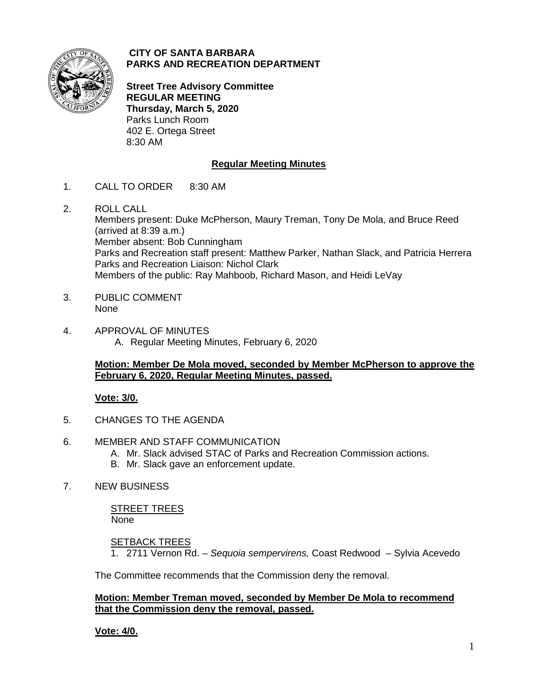

## **CITY OF SANTA BARBARA PARKS AND RECREATION DEPARTMENT**

**Street Tree Advisory Committee REGULAR MEETING Thursday, March 5, 2020** Parks Lunch Room 402 E. Ortega Street 8:30 AM

# **Regular Meeting Minutes**

- 1. CALL TO ORDER 8:30 AM
- 2. ROLL CALL Members present: Duke McPherson, Maury Treman, Tony De Mola, and Bruce Reed (arrived at 8:39 a.m.) Member absent: Bob Cunningham Parks and Recreation staff present: Matthew Parker, Nathan Slack, and Patricia Herrera Parks and Recreation Liaison: Nichol Clark Members of the public: Ray Mahboob, Richard Mason, and Heidi LeVay
- 3. PUBLIC COMMENT None
- 4. APPROVAL OF MINUTES A. Regular Meeting Minutes, February 6, 2020

## **Motion: Member De Mola moved, seconded by Member McPherson to approve the February 6, 2020, Regular Meeting Minutes, passed.**

# **Vote: 3/0.**

- 5. CHANGES TO THE AGENDA
- 6. MEMBER AND STAFF COMMUNICATION
	- A. Mr. Slack advised STAC of Parks and Recreation Commission actions.
	- B. Mr. Slack gave an enforcement update.
- 7. NEW BUSINESS

STREET TREES None

### **SETBACK TREES**

1. 2711 Vernon Rd. – *Sequoia sempervirens,* Coast Redwood – Sylvia Acevedo

The Committee recommends that the Commission deny the removal.

### **Motion: Member Treman moved, seconded by Member De Mola to recommend that the Commission deny the removal, passed.**

**Vote: 4/0.**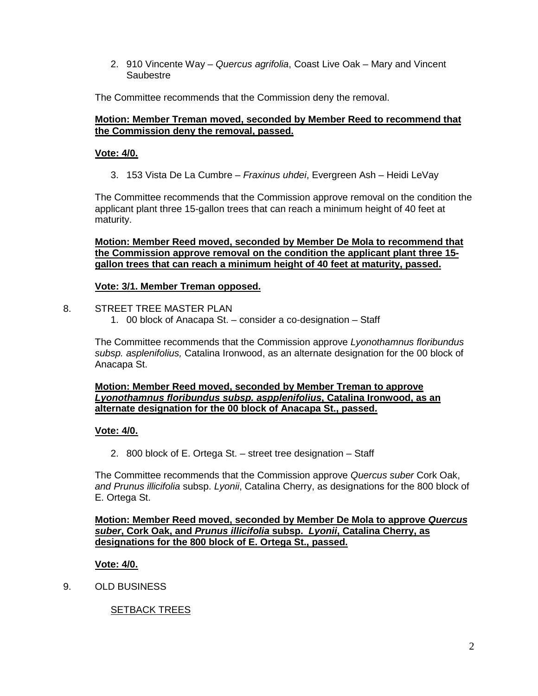2. 910 Vincente Way – *Quercus agrifolia*, Coast Live Oak – Mary and Vincent Saubestre

The Committee recommends that the Commission deny the removal.

## **Motion: Member Treman moved, seconded by Member Reed to recommend that the Commission deny the removal, passed.**

## **Vote: 4/0.**

3. 153 Vista De La Cumbre – *Fraxinus uhdei*, Evergreen Ash – Heidi LeVay

The Committee recommends that the Commission approve removal on the condition the applicant plant three 15-gallon trees that can reach a minimum height of 40 feet at maturity.

**Motion: Member Reed moved, seconded by Member De Mola to recommend that the Commission approve removal on the condition the applicant plant three 15 gallon trees that can reach a minimum height of 40 feet at maturity, passed.**

## **Vote: 3/1. Member Treman opposed.**

### 8. STREET TREE MASTER PLAN

1. 00 block of Anacapa St. – consider a co-designation – Staff

The Committee recommends that the Commission approve *Lyonothamnus floribundus subsp. asplenifolius,* Catalina Ironwood, as an alternate designation for the 00 block of Anacapa St.

#### **Motion: Member Reed moved, seconded by Member Treman to approve**  *Lyonothamnus floribundus subsp. aspplenifolius***, Catalina Ironwood, as an alternate designation for the 00 block of Anacapa St., passed.**

# **Vote: 4/0.**

2. 800 block of E. Ortega St. – street tree designation – Staff

The Committee recommends that the Commission approve *Quercus suber* Cork Oak, *and Prunus illicifolia* subsp. *Lyonii*, Catalina Cherry, as designations for the 800 block of E. Ortega St.

**Motion: Member Reed moved, seconded by Member De Mola to approve** *Quercus suber***, Cork Oak, and** *Prunus illicifolia* **subsp.** *Lyonii***, Catalina Cherry, as designations for the 800 block of E. Ortega St., passed.**

# **Vote: 4/0.**

9. OLD BUSINESS

SETBACK TREES